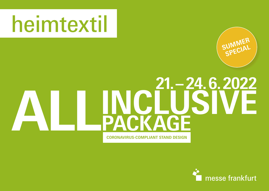# heimtextil



# **ALLINCLUSIVE PACKAGE 21. – 24. 6. 2022**

**CORONAVIRUS-COMPLIANT STAND DESIGN**

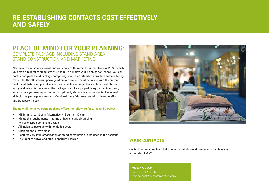### **RE-ESTABLISHING CONTACTS COST-EFFECTIVELY AND SAFELY**

#### **PEACE OF MIND FOR YOUR PLANNING:** COMPLETE PACKAGE INCLUDING STAND AREA, STAND CONSTRUCTION AND MARKETING

New health and safety regulations will apply at Heimtextil Summer Special 2022, which lay down a minimum stand size of 12 sqm. To simplify your planning for the fair, you can book a complete stand package comprising stand area, stand construction and marketing materials. The all-inclusive package offers a complete solution in line with the current health and distancing guidelines and will enable you to get back in touch with buyers easily and safely. At the core of the package is a fully equipped 12 sqm exhibition stand. which offers you new opportunities to optimally showcase your products. The one-stop, all-inclusive package ensures a professional trade fair presence with minimum effort and transparent costs.

#### **The new all-inclusive stand package offers the following features and services:**

- Minimum area 12 sqm (alternatively 18 sqm or 30 sqm)
- Meets the requirements in terms of hygiene and distancing  $\rightarrow$  Coronavirus-compliant design
- All-inclusive package with no hidden costs
- Open on one or two sides
- Requires very little organisation as stand construction is included in the package
- Last-minute arrival and quick departure possible **YOUR CONTACTS**



Contact our trade fair team today for a consultation and reserve an exhibition stand at Heimtextil 2022!

**VERENA BECK** Tel. +49697575-5859 verena.beck@messefrankfurt.com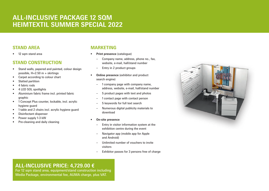# **ALL-INCLUSIVE PACKAGE 12 SQM HEIMTEXTIL SUMMER SPECIAL 2022**

#### **STAND AREA**

• 12 sqm stand area

#### **STAND CONSTRUCTION**

- Stand walls, papered and painted, colour design possible, H=2.50 m + skirtings
- Carpet according to colour chart
- Slatted partition
- 4 fabric rods
- 4 LED SOL spotlights
- Aluminium fabric frame incl. printed fabric graphic
- 1 Concept Plus counter, lockable, incl. acrylic hygiene guard
- 1 table and 2 chairs incl. acrylic hygiene guard
- Disinfectant dispenser
- Power supply 1-3 kW
- Pre-cleaning and daily cleaning

#### **MARKETING**

- **Print presence** (catalogue)
	- Company name, address, phone no., fax, website, e-mail, hall/stand number
	- Entry in 2 product groups
- **Online presence** (exhibitor and product search engine)
	- 1 company page with company name, address, website, e-mail, hall/stand number
	- 5 product pages with text and photos
	- 1 contact page with contact person
	- 5 keywords for full text search
	- Numerous digital publicity materials to download
- **On-site presence**
	- Entry in visitor information system at the exhibition centre during the event
	- Navigator app (mobile app for Apple and Android)
	- Unlimited number of vouchers to invite visitors
	- Exhibitor passes for 3 persons free of charge



#### **ALL-INCLUSIVE PRICE: 4,729.00 €**

For 12 sqm stand area, equipment/stand construction including Media Package, environmental fee, AUMA charge, plus VAT.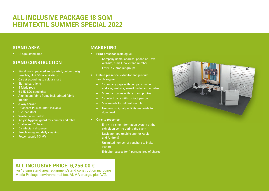# **ALL-INCLUSIVE PACKAGE 18 SQM HEIMTEXTIL SUMMER SPECIAL 2022**

#### **STAND AREA**

• 18 sqm stand area

#### **STAND CONSTRUCTION**

- Stand walls, papered and painted, colour design possible, H=2.50 m + skirtings
- Carpet according to colour chart
- Slatted partitions
- 4 fabric rods
- 6 LED SOL spotlights
- Aluminium fabric frame incl. printed fabric graphic
- 3-way socket
- 1 Concept Plus counter, lockable
- 1'Z' bar stool
- Waste paper basket
- Acrylic hygiene guard for counter and table
- 1 table and 2 chairs
- Disinfectant dispenser
- Pre-cleaning and daily cleaning
- Power supply 1-3 kW

#### **MARKETING**

- **Print presence** (catalogue)
	- Company name, address, phone no., fax, website, e-mail, hall/stand number
	- Entry in 2 product groups
- **Online presence** (exhibitor and product search engine)
	- 1 company page with company name, address, website, e-mail, hall/stand number
	- 5 product pages with text and photos
	- 1 contact page with contact person
	- 5 keywords for full text search
	- Numerous digital publicity materials to download
- **On-site presence**
	- Entry in visitor information system at the exhibition centre during the event
	- Navigator app (mobile app for Apple and Android)
	- Unlimited number of vouchers to invite visitors
	- Exhibitor passes for 4 persons free of charge



### **ALL-INCLUSIVE PRICE: 6,256.00 €**

For 18 sqm stand area, equipment/stand construction including Media Package, environmental fee, AUMA charge, plus VAT.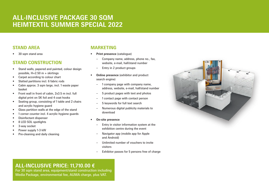# **ALL-INCLUSIVE PACKAGE 30 SQM HEIMTEXTIL SUMMER SPECIAL 2022**

#### **STAND AREA**

• 30 sqm stand area

#### **STAND CONSTRUCTION**

- Stand walls, papered and painted, colour design possible, H=2.50 m + skirtings
- Carpet according to colour chart
- Slatted partitions incl. 6 fabric rods
- Cabin approx. 3 sqm large, incl. 1 waste paper basket
- Front wall in front of cabin, 2x3.5 m incl. full digital print on SK foil and 4 coat hooks
- Seating group, consisting of 1 table and 2 chairs and acrylic hygiene guard
- Glass partition walls at the edge of the stand
- 1 corner counter incl. 4 acrylic hygiene guards
- Disinfectant dispenser
- 8 LED SOL spotlights
- 3-way socket
- Power supply 1-3 kW
- Pre-cleaning and daily cleaning

#### **MARKETING**

- **Print presence** (catalogue)
	- Company name, address, phone no., fax, website, e-mail, hall/stand number
	- Entry in 2 product groups
- **Online presence** (exhibitor and product search engine)
	- 1 company page with company name, address, website, e-mail, hall/stand number
	- 5 product pages with text and photos
	- 1 contact page with contact person
	- 5 keywords for full text search
	- Numerous digital publicity materials to download
- **On-site presence**
	- Entry in visitor information system at the exhibition centre during the event
	- Navigator app (mobile app for Apple and Android)
	- Unlimited number of vouchers to invite visitors
	- Exhibitor passes for 5 persons free of charge



#### **ALL-INCLUSIVE PRICE: 11,710.00 €**

For 30 sqm stand area, equipment/stand construction including Media Package, environmental fee, AUMA charge, plus VAT.